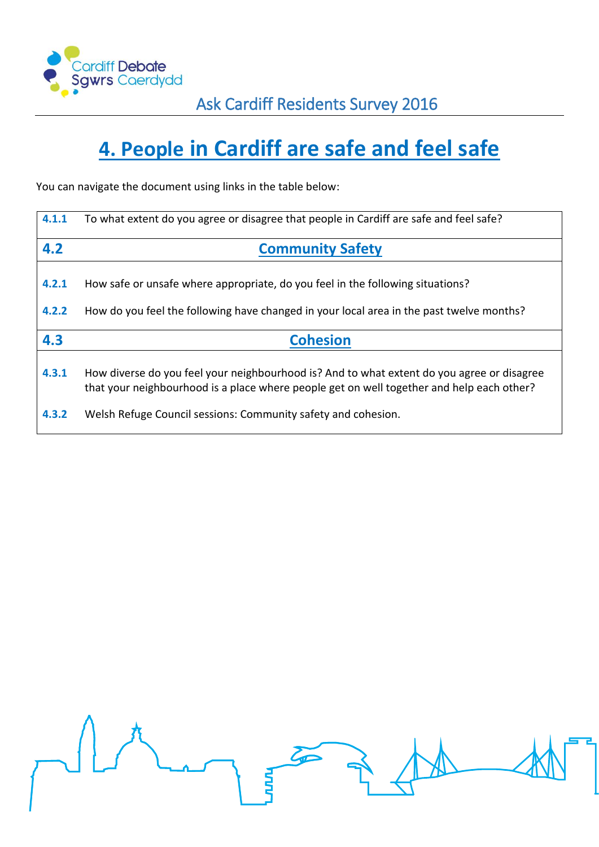

# **4. People in Cardiff are safe and feel safe**

You can navigate the document using links in the table below:

| 4.1.1          | To what extent do you agree or disagree that people in Cardiff are safe and feel safe?                                                                                                  |
|----------------|-----------------------------------------------------------------------------------------------------------------------------------------------------------------------------------------|
| 4.2            | <b>Community Safety</b>                                                                                                                                                                 |
| 4.2.1<br>4.2.2 | How safe or unsafe where appropriate, do you feel in the following situations?<br>How do you feel the following have changed in your local area in the past twelve months?              |
| 4.3            | <b>Cohesion</b>                                                                                                                                                                         |
| 4.3.1          | How diverse do you feel your neighbourhood is? And to what extent do you agree or disagree<br>that your neighbourhood is a place where people get on well together and help each other? |
| 4.3.2          | Welsh Refuge Council sessions: Community safety and cohesion.                                                                                                                           |

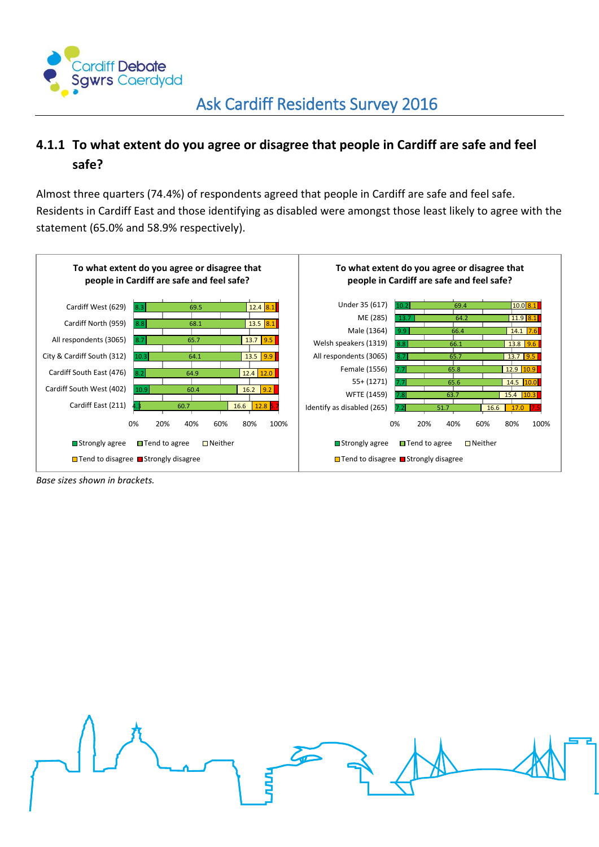

### <span id="page-1-0"></span>**4.1.1 To what extent do you agree or disagree that people in Cardiff are safe and feel safe?**

Almost three quarters (74.4%) of respondents agreed that people in Cardiff are safe and feel safe. Residents in Cardiff East and those identifying as disabled were amongst those least likely to agree with the statement (65.0% and 58.9% respectively).



*Base sizes shown in brackets.*

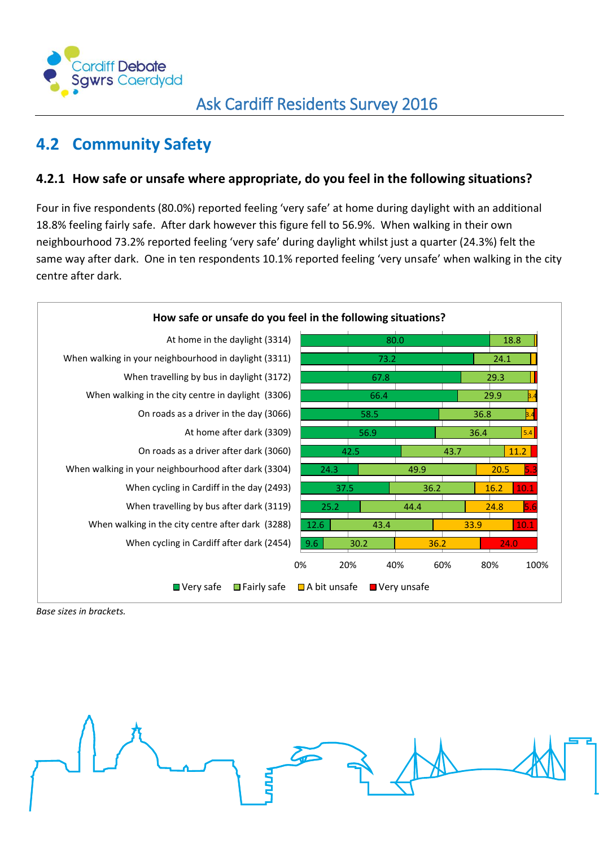

# <span id="page-2-0"></span>**4.2 Community Safety**

#### <span id="page-2-1"></span>**4.2.1 How safe or unsafe where appropriate, do you feel in the following situations?**

Four in five respondents (80.0%) reported feeling 'very safe' at home during daylight with an additional 18.8% feeling fairly safe. After dark however this figure fell to 56.9%. When walking in their own neighbourhood 73.2% reported feeling 'very safe' during daylight whilst just a quarter (24.3%) felt the same way after dark. One in ten respondents 10.1% reported feeling 'very unsafe' when walking in the city centre after dark.



*Base sizes in brackets.*

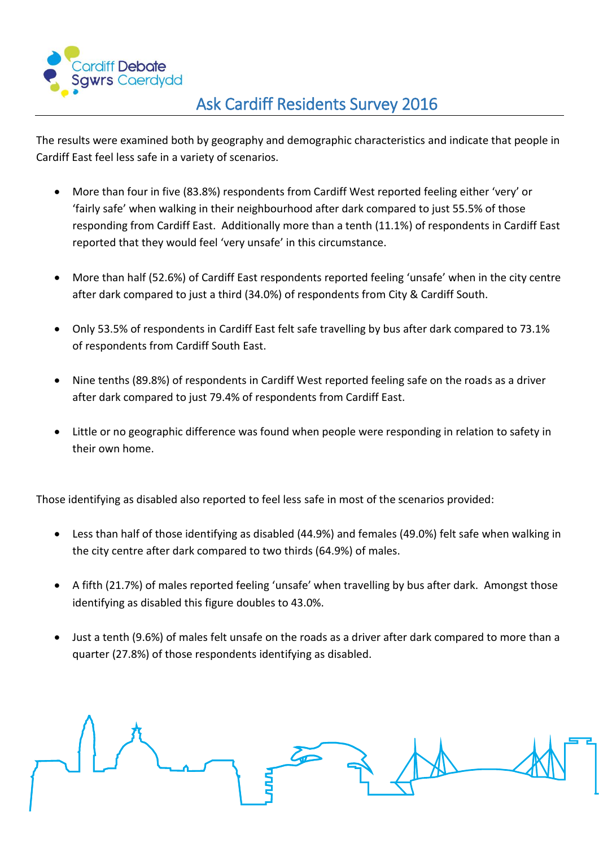

## Ask Cardiff Residents Survey 2016

The results were examined both by geography and demographic characteristics and indicate that people in Cardiff East feel less safe in a variety of scenarios.

- More than four in five (83.8%) respondents from Cardiff West reported feeling either 'very' or 'fairly safe' when walking in their neighbourhood after dark compared to just 55.5% of those responding from Cardiff East. Additionally more than a tenth (11.1%) of respondents in Cardiff East reported that they would feel 'very unsafe' in this circumstance.
- More than half (52.6%) of Cardiff East respondents reported feeling 'unsafe' when in the city centre after dark compared to just a third (34.0%) of respondents from City & Cardiff South.
- Only 53.5% of respondents in Cardiff East felt safe travelling by bus after dark compared to 73.1% of respondents from Cardiff South East.
- Nine tenths (89.8%) of respondents in Cardiff West reported feeling safe on the roads as a driver after dark compared to just 79.4% of respondents from Cardiff East.
- Little or no geographic difference was found when people were responding in relation to safety in their own home.

Those identifying as disabled also reported to feel less safe in most of the scenarios provided:

- Less than half of those identifying as disabled (44.9%) and females (49.0%) felt safe when walking in the city centre after dark compared to two thirds (64.9%) of males.
- A fifth (21.7%) of males reported feeling 'unsafe' when travelling by bus after dark. Amongst those identifying as disabled this figure doubles to 43.0%.
- Just a tenth (9.6%) of males felt unsafe on the roads as a driver after dark compared to more than a quarter (27.8%) of those respondents identifying as disabled.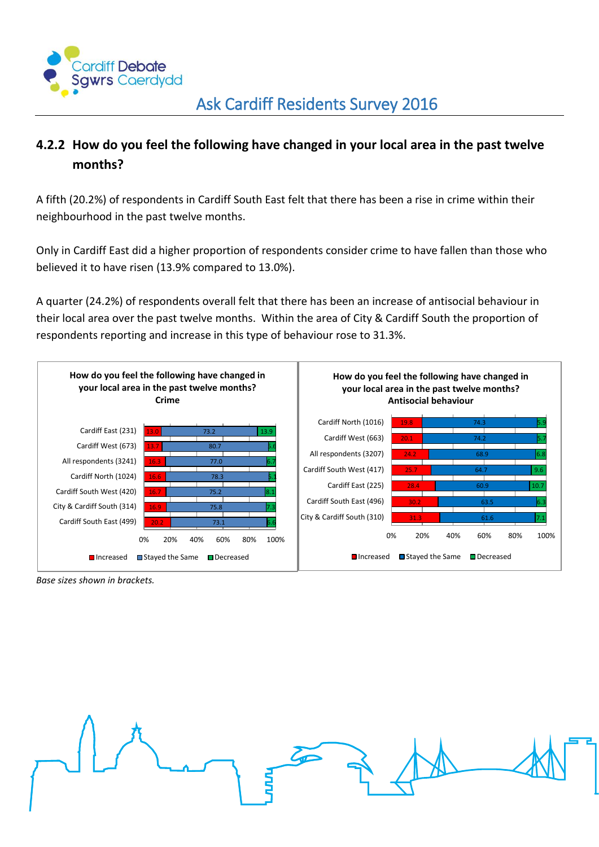

### <span id="page-4-0"></span>**4.2.2 How do you feel the following have changed in your local area in the past twelve months?**

A fifth (20.2%) of respondents in Cardiff South East felt that there has been a rise in crime within their neighbourhood in the past twelve months.

Only in Cardiff East did a higher proportion of respondents consider crime to have fallen than those who believed it to have risen (13.9% compared to 13.0%).

A quarter (24.2%) of respondents overall felt that there has been an increase of antisocial behaviour in their local area over the past twelve months. Within the area of City & Cardiff South the proportion of respondents reporting and increase in this type of behaviour rose to 31.3%.



*Base sizes shown in brackets.*

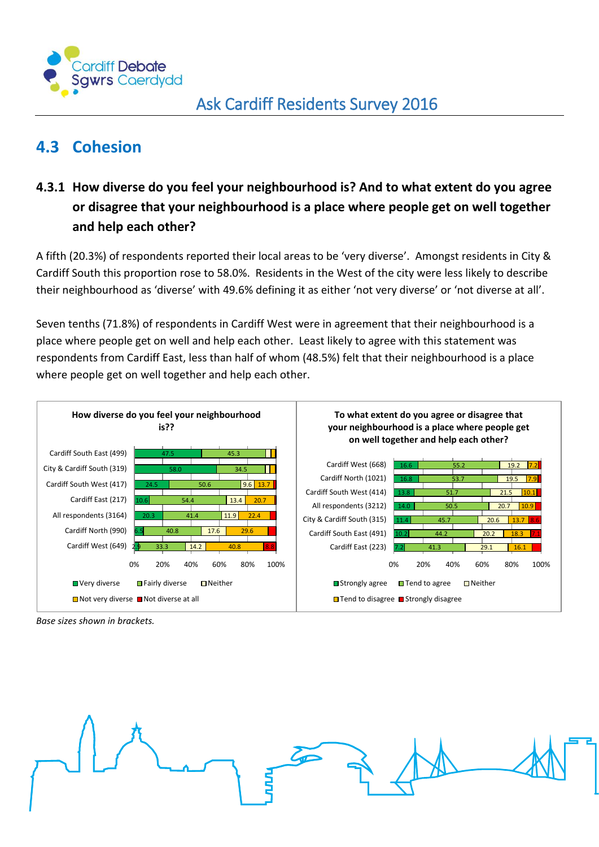

## <span id="page-5-0"></span>**4.3 Cohesion**

### <span id="page-5-1"></span>**4.3.1 How diverse do you feel your neighbourhood is? And to what extent do you agree or disagree that your neighbourhood is a place where people get on well together and help each other?**

A fifth (20.3%) of respondents reported their local areas to be 'very diverse'. Amongst residents in City & Cardiff South this proportion rose to 58.0%. Residents in the West of the city were less likely to describe their neighbourhood as 'diverse' with 49.6% defining it as either 'not very diverse' or 'not diverse at all'.

Seven tenths (71.8%) of respondents in Cardiff West were in agreement that their neighbourhood is a place where people get on well and help each other. Least likely to agree with this statement was respondents from Cardiff East, less than half of whom (48.5%) felt that their neighbourhood is a place where people get on well together and help each other.



*Base sizes shown in brackets.*